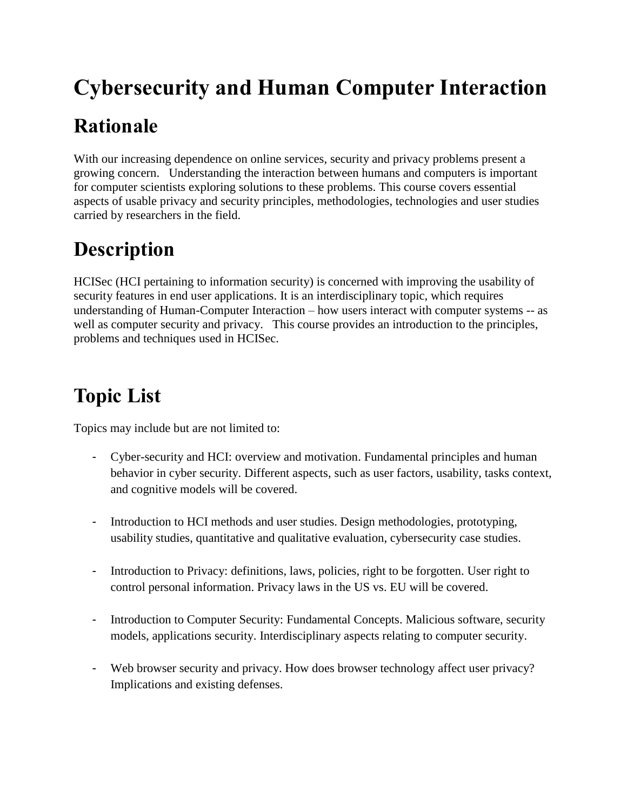# **Cybersecurity and Human Computer Interaction**

## **Rationale**

With our increasing dependence on online services, security and privacy problems present a growing concern. Understanding the interaction between humans and computers is important for computer scientists exploring solutions to these problems. This course covers essential aspects of usable privacy and security principles, methodologies, technologies and user studies carried by researchers in the field.

## **Description**

HCISec (HCI pertaining to information security) is concerned with improving the usability of security features in end user applications. It is an interdisciplinary topic, which requires understanding of Human-Computer Interaction – how users interact with computer systems -- as well as computer security and privacy. This course provides an introduction to the principles, problems and techniques used in HCISec.

## **Topic List**

Topics may include but are not limited to:

- Cyber-security and HCI: overview and motivation. Fundamental principles and human behavior in cyber security. Different aspects, such as user factors, usability, tasks context, and cognitive models will be covered.
- Introduction to HCI methods and user studies. Design methodologies, prototyping, usability studies, quantitative and qualitative evaluation, cybersecurity case studies.
- Introduction to Privacy: definitions, laws, policies, right to be forgotten. User right to control personal information. Privacy laws in the US vs. EU will be covered.
- Introduction to Computer Security: Fundamental Concepts. Malicious software, security models, applications security. Interdisciplinary aspects relating to computer security.
- Web browser security and privacy. How does browser technology affect user privacy? Implications and existing defenses.